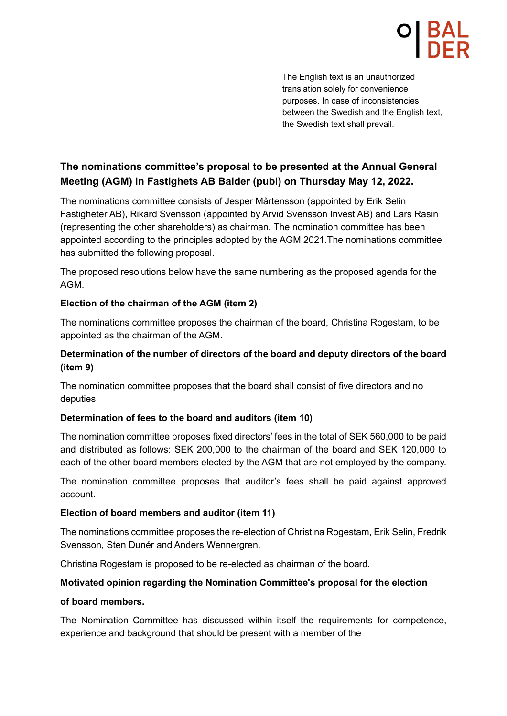The English text is an unauthorized translation solely for convenience purposes. In case of inconsistencies between the Swedish and the English text, the Swedish text shall prevail.

# **The nominations committee's proposal to be presented at the Annual General Meeting (AGM) in Fastighets AB Balder (publ) on Thursday May 12, 2022.**

The nominations committee consists of Jesper Mårtensson (appointed by Erik Selin Fastigheter AB), Rikard Svensson (appointed by Arvid Svensson Invest AB) and Lars Rasin (representing the other shareholders) as chairman. The nomination committee has been appointed according to the principles adopted by the AGM 2021.The nominations committee has submitted the following proposal.

The proposed resolutions below have the same numbering as the proposed agenda for the AGM.

## **Election of the chairman of the AGM (item 2)**

The nominations committee proposes the chairman of the board, Christina Rogestam, to be appointed as the chairman of the AGM.

## **Determination of the number of directors of the board and deputy directors of the board (item 9)**

The nomination committee proposes that the board shall consist of five directors and no deputies.

## **Determination of fees to the board and auditors (item 10)**

The nomination committee proposes fixed directors' fees in the total of SEK 560,000 to be paid and distributed as follows: SEK 200,000 to the chairman of the board and SEK 120,000 to each of the other board members elected by the AGM that are not employed by the company.

The nomination committee proposes that auditor's fees shall be paid against approved account.

## **Election of board members and auditor (item 11)**

The nominations committee proposes the re-election of Christina Rogestam, Erik Selin, Fredrik Svensson, Sten Dunér and Anders Wennergren.

Christina Rogestam is proposed to be re-elected as chairman of the board.

## **Motivated opinion regarding the Nomination Committee's proposal for the election**

## **of board members.**

The Nomination Committee has discussed within itself the requirements for competence, experience and background that should be present with a member of the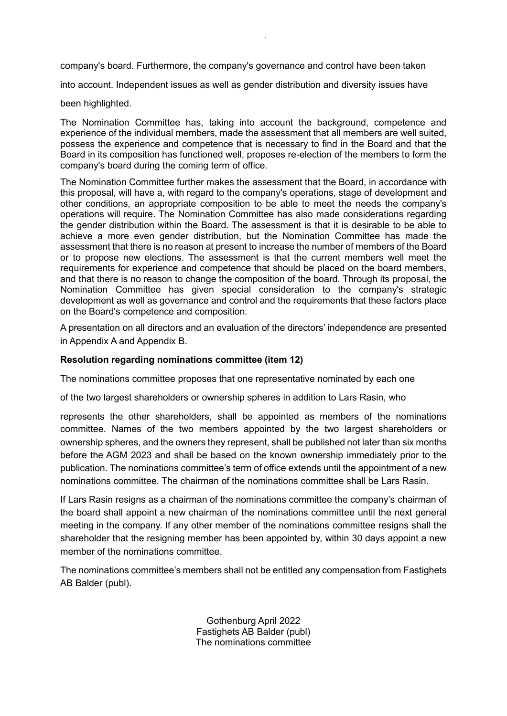company's board. Furthermore, the company's governance and control have been taken

*.*

into account. Independent issues as well as gender distribution and diversity issues have

#### been highlighted.

The Nomination Committee has, taking into account the background, competence and experience of the individual members, made the assessment that all members are well suited, possess the experience and competence that is necessary to find in the Board and that the Board in its composition has functioned well, proposes re-election of the members to form the company's board during the coming term of office.

The Nomination Committee further makes the assessment that the Board, in accordance with this proposal, will have a, with regard to the company's operations, stage of development and other conditions, an appropriate composition to be able to meet the needs the company's operations will require. The Nomination Committee has also made considerations regarding the gender distribution within the Board. The assessment is that it is desirable to be able to achieve a more even gender distribution, but the Nomination Committee has made the assessment that there is no reason at present to increase the number of members of the Board or to propose new elections. The assessment is that the current members well meet the requirements for experience and competence that should be placed on the board members, and that there is no reason to change the composition of the board. Through its proposal, the Nomination Committee has given special consideration to the company's strategic development as well as governance and control and the requirements that these factors place on the Board's competence and composition.

A presentation on all directors and an evaluation of the directors' independence are presented in Appendix A and Appendix B.

#### **Resolution regarding nominations committee (item 12)**

The nominations committee proposes that one representative nominated by each one

of the two largest shareholders or ownership spheres in addition to Lars Rasin, who

represents the other shareholders, shall be appointed as members of the nominations committee. Names of the two members appointed by the two largest shareholders or ownership spheres, and the owners they represent, shall be published not later than six months before the AGM 2023 and shall be based on the known ownership immediately prior to the publication. The nominations committee's term of office extends until the appointment of a new nominations committee. The chairman of the nominations committee shall be Lars Rasin.

If Lars Rasin resigns as a chairman of the nominations committee the company's chairman of the board shall appoint a new chairman of the nominations committee until the next general meeting in the company. If any other member of the nominations committee resigns shall the shareholder that the resigning member has been appointed by, within 30 days appoint a new member of the nominations committee.

The nominations committee's members shall not be entitled any compensation from Fastighets AB Balder (publ).

> Gothenburg April 2022 Fastighets AB Balder (publ) The nominations committee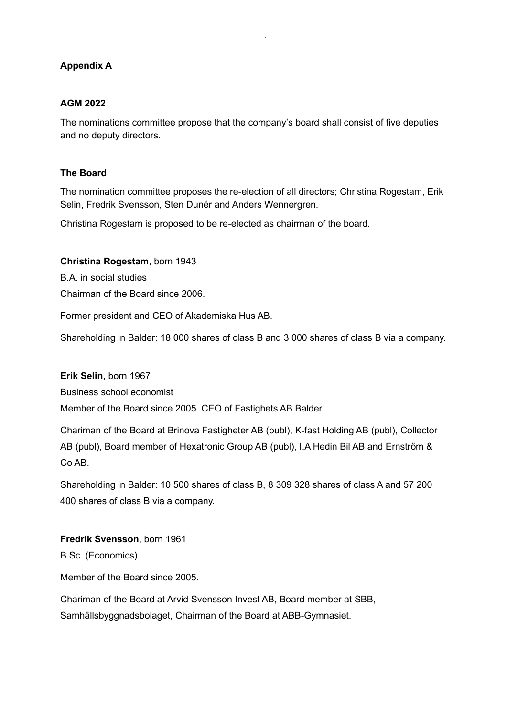## **Appendix A**

## **AGM 2022**

The nominations committee propose that the company's board shall consist of five deputies and no deputy directors.

*.*

## **The Board**

The nomination committee proposes the re-election of all directors; Christina Rogestam, Erik Selin, Fredrik Svensson, Sten Dunér and Anders Wennergren.

Christina Rogestam is proposed to be re-elected as chairman of the board.

## **Christina Rogestam**, born 1943

B.A. in social studies

Chairman of the Board since 2006.

Former president and CEO of Akademiska Hus AB.

Shareholding in Balder: 18 000 shares of class B and 3 000 shares of class B via a company.

**Erik Selin**, born 1967

Business school economist

Member of the Board since 2005. CEO of Fastighets AB Balder.

Chariman of the Board at Brinova Fastigheter AB (publ), K-fast Holding AB (publ), Collector AB (publ), Board member of Hexatronic Group AB (publ), I.A Hedin Bil AB and Ernström & Co AB.

Shareholding in Balder: 10 500 shares of class B, 8 309 328 shares of class A and 57 200 400 shares of class B via a company.

**Fredrik Svensson**, born 1961 B.Sc. (Economics)

Member of the Board since 2005.

Chariman of the Board at Arvid Svensson Invest AB, Board member at SBB, Samhällsbyggnadsbolaget, Chairman of the Board at ABB-Gymnasiet.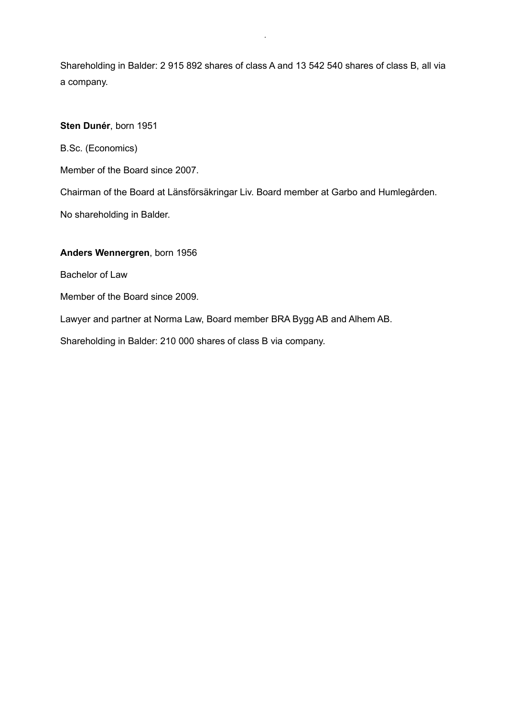Shareholding in Balder: 2 915 892 shares of class A and 13 542 540 shares of class B, all via a company.

*.*

### **Sten Dunér**, born 1951

B.Sc. (Economics)

Member of the Board since 2007.

Chairman of the Board at Länsförsäkringar Liv. Board member at Garbo and Humlegården.

No shareholding in Balder.

#### **Anders Wennergren**, born 1956

Bachelor of Law

Member of the Board since 2009.

Lawyer and partner at Norma Law, Board member BRA Bygg AB and Alhem AB.

Shareholding in Balder: 210 000 shares of class B via company.